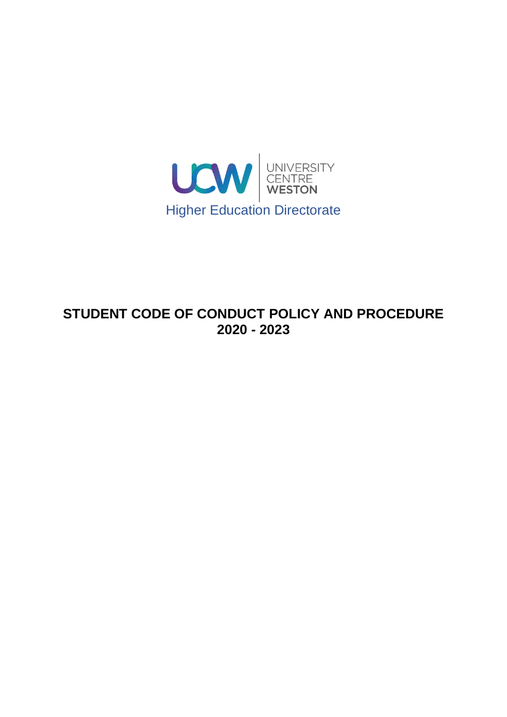

# **STUDENT CODE OF CONDUCT POLICY AND PROCEDURE 2020 - 2023**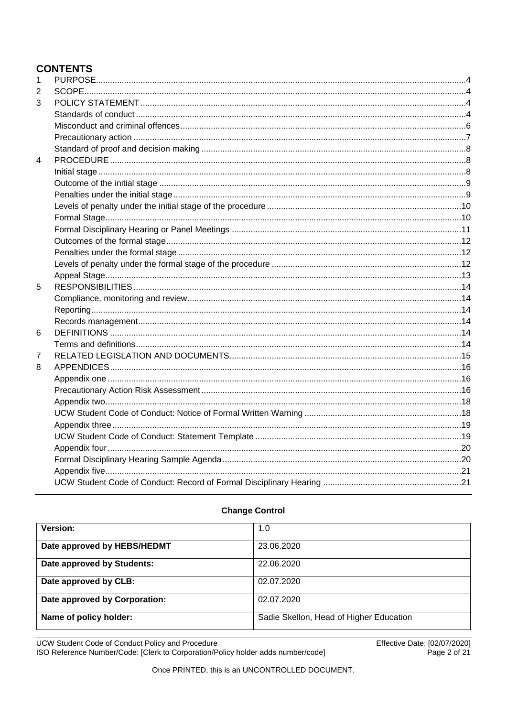# **CONTENTS**

| 1              |  |
|----------------|--|
| 2              |  |
| 3              |  |
|                |  |
|                |  |
|                |  |
|                |  |
| $\overline{4}$ |  |
|                |  |
|                |  |
|                |  |
|                |  |
|                |  |
|                |  |
|                |  |
|                |  |
|                |  |
|                |  |
| 5              |  |
|                |  |
|                |  |
|                |  |
| 6              |  |
|                |  |
| 7              |  |
| 8              |  |
|                |  |
|                |  |
|                |  |
|                |  |
|                |  |
|                |  |
|                |  |
|                |  |
|                |  |
|                |  |

| <b>Version:</b>               | 1.0                                     |
|-------------------------------|-----------------------------------------|
| Date approved by HEBS/HEDMT   | 23.06.2020                              |
| Date approved by Students:    | 22.06.2020                              |
| Date approved by CLB:         | 02.07.2020                              |
| Date approved by Corporation: | 02.07.2020                              |
| Name of policy holder:        | Sadie Skellon, Head of Higher Education |

### **Change Control**

UCW Student Code of Conduct Policy and Procedure<br>ISO Reference Number/Code: [Clerk to Corporation/Policy holder adds number/code]

Effective Date: [02/07/2020]<br>Page 2 of 21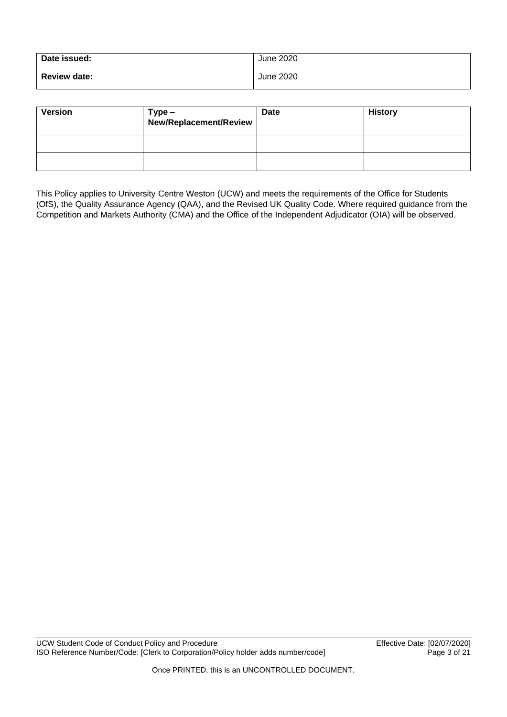| Date issued:        | June 2020 |
|---------------------|-----------|
| <b>Review date:</b> | June 2020 |

| <b>Version</b> | Type -<br>New/Replacement/Review | <b>Date</b> | <b>History</b> |
|----------------|----------------------------------|-------------|----------------|
|                |                                  |             |                |
|                |                                  |             |                |

This Policy applies to University Centre Weston (UCW) and meets the requirements of the Office for Students (OfS), the Quality Assurance Agency (QAA), and the Revised UK Quality Code. Where required guidance from the Competition and Markets Authority (CMA) and the Office of the Independent Adjudicator (OIA) will be observed.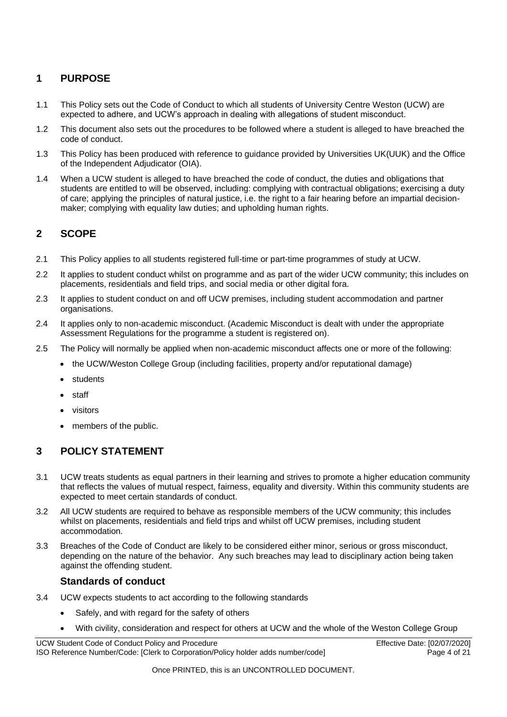#### <span id="page-3-0"></span>**1 PURPOSE**

- 1.1 This Policy sets out the Code of Conduct to which all students of University Centre Weston (UCW) are expected to adhere, and UCW's approach in dealing with allegations of student misconduct.
- 1.2 This document also sets out the procedures to be followed where a student is alleged to have breached the code of conduct.
- 1.3 This Policy has been produced with reference to guidance provided by Universities UK(UUK) and the Office of the Independent Adjudicator (OIA).
- 1.4 When a UCW student is alleged to have breached the code of conduct, the duties and obligations that students are entitled to will be observed, including: complying with contractual obligations; exercising a duty of care; applying the principles of natural justice, i.e. the right to a fair hearing before an impartial decisionmaker; complying with equality law duties; and upholding human rights.

#### <span id="page-3-1"></span>**2 SCOPE**

- 2.1 This Policy applies to all students registered full-time or part-time programmes of study at UCW.
- 2.2 It applies to student conduct whilst on programme and as part of the wider UCW community; this includes on placements, residentials and field trips, and social media or other digital fora.
- 2.3 It applies to student conduct on and off UCW premises, including student accommodation and partner organisations.
- 2.4 It applies only to non-academic misconduct. (Academic Misconduct is dealt with under the appropriate Assessment Regulations for the programme a student is registered on).
- 2.5 The Policy will normally be applied when non-academic misconduct affects one or more of the following:
	- the UCW/Weston College Group (including facilities, property and/or reputational damage)
	- **students**
	- staff
	- visitors
	- members of the public.

#### <span id="page-3-2"></span>**3 POLICY STATEMENT**

- 3.1 UCW treats students as equal partners in their learning and strives to promote a higher education community that reflects the values of mutual respect, fairness, equality and diversity. Within this community students are expected to meet certain standards of conduct.
- 3.2 All UCW students are required to behave as responsible members of the UCW community; this includes whilst on placements, residentials and field trips and whilst off UCW premises, including student accommodation.
- 3.3 Breaches of the Code of Conduct are likely to be considered either minor, serious or gross misconduct, depending on the nature of the behavior. Any such breaches may lead to disciplinary action being taken against the offending student.

#### **Standards of conduct**

- <span id="page-3-3"></span>3.4 UCW expects students to act according to the following standards
	- Safely, and with regard for the safety of others
		- With civility, consideration and respect for others at UCW and the whole of the Weston College Group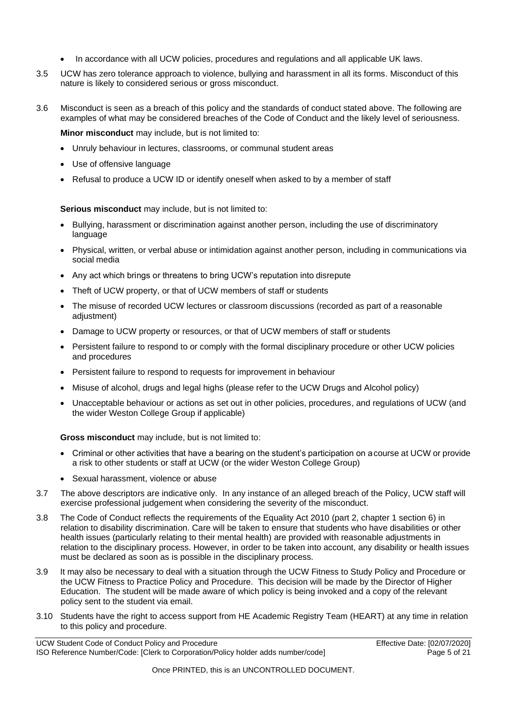- In accordance with all UCW policies, procedures and regulations and all applicable UK laws.
- 3.5 UCW has zero tolerance approach to violence, bullying and harassment in all its forms. Misconduct of this nature is likely to considered serious or gross misconduct.
- 3.6 Misconduct is seen as a breach of this policy and the standards of conduct stated above. The following are examples of what may be considered breaches of the Code of Conduct and the likely level of seriousness.

**Minor misconduct** may include, but is not limited to:

- Unruly behaviour in lectures, classrooms, or communal student areas
- Use of offensive language
- Refusal to produce a UCW ID or identify oneself when asked to by a member of staff

**Serious misconduct** may include, but is not limited to:

- Bullying, harassment or discrimination against another person, including the use of discriminatory language
- Physical, written, or verbal abuse or intimidation against another person, including in communications via social media
- Any act which brings or threatens to bring UCW's reputation into disrepute
- Theft of UCW property, or that of UCW members of staff or students
- The misuse of recorded UCW lectures or classroom discussions (recorded as part of a reasonable adjustment)
- Damage to UCW property or resources, or that of UCW members of staff or students
- Persistent failure to respond to or comply with the formal disciplinary procedure or other UCW policies and procedures
- Persistent failure to respond to requests for improvement in behaviour
- Misuse of alcohol, drugs and legal highs (please refer to the UCW Drugs and Alcohol policy)
- Unacceptable behaviour or actions as set out in other policies, procedures, and regulations of UCW (and the wider Weston College Group if applicable)

**Gross misconduct** may include, but is not limited to:

- Criminal or other activities that have a bearing on the student's participation on acourse at UCW or provide a risk to other students or staff at UCW (or the wider Weston College Group)
- Sexual harassment, violence or abuse
- 3.7 The above descriptors are indicative only. In any instance of an alleged breach of the Policy, UCW staff will exercise professional judgement when considering the severity of the misconduct.
- 3.8 The Code of Conduct reflects the requirements of the Equality Act 2010 (part 2, chapter 1 section 6) in relation to disability discrimination. Care will be taken to ensure that students who have disabilities or other health issues (particularly relating to their mental health) are provided with reasonable adjustments in relation to the disciplinary process. However, in order to be taken into account, any disability or health issues must be declared as soon as is possible in the disciplinary process.
- 3.9 It may also be necessary to deal with a situation through the UCW Fitness to Study Policy and Procedure or the UCW Fitness to Practice Policy and Procedure. This decision will be made by the Director of Higher Education. The student will be made aware of which policy is being invoked and a copy of the relevant policy sent to the student via email.
- 3.10 Students have the right to access support from HE Academic Registry Team (HEART) at any time in relation to this policy and procedure.

UCW Student Code of Conduct Policy and Procedure Effective Date: [02/07/2020] ISO Reference Number/Code: [Clerk to Corporation/Policy holder adds number/code] Page 5 of 21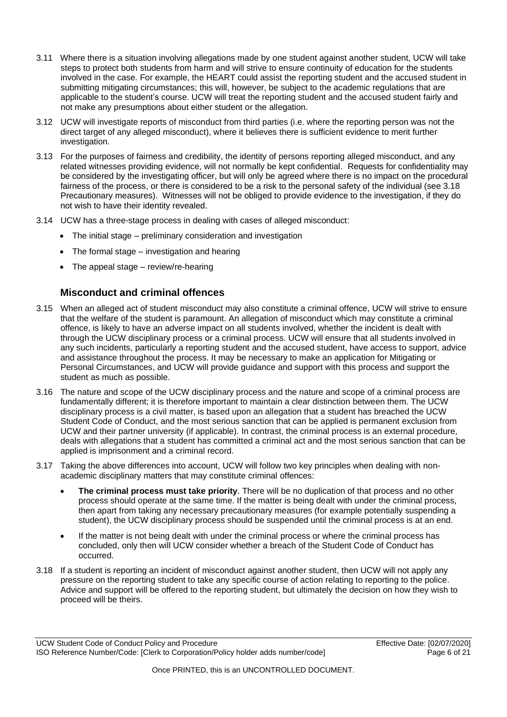- 3.11 Where there is a situation involving allegations made by one student against another student, UCW will take steps to protect both students from harm and will strive to ensure continuity of education for the students involved in the case. For example, the HEART could assist the reporting student and the accused student in submitting mitigating circumstances; this will, however, be subject to the academic regulations that are applicable to the student's course. UCW will treat the reporting student and the accused student fairly and not make any presumptions about either student or the allegation.
- 3.12 UCW will investigate reports of misconduct from third parties (i.e. where the reporting person was not the direct target of any alleged misconduct), where it believes there is sufficient evidence to merit further investigation.
- 3.13 For the purposes of fairness and credibility, the identity of persons reporting alleged misconduct, and any related witnesses providing evidence, will not normally be kept confidential. Requests for confidentiality may be considered by the investigating officer, but will only be agreed where there is no impact on the procedural fairness of the process, or there is considered to be a risk to the personal safety of the individual (see 3.18 Precautionary measures). Witnesses will not be obliged to provide evidence to the investigation, if they do not wish to have their identity revealed.
- 3.14 UCW has a three-stage process in dealing with cases of alleged misconduct:
	- The initial stage preliminary consideration and investigation
	- The formal stage investigation and hearing
	- The appeal stage review/re-hearing

#### **Misconduct and criminal offences**

- <span id="page-5-0"></span>3.15 When an alleged act of student misconduct may also constitute a criminal offence, UCW will strive to ensure that the welfare of the student is paramount. An allegation of misconduct which may constitute a criminal offence, is likely to have an adverse impact on all students involved, whether the incident is dealt with through the UCW disciplinary process or a criminal process. UCW will ensure that all students involved in any such incidents, particularly a reporting student and the accused student, have access to support, advice and assistance throughout the process. It may be necessary to make an application for Mitigating or Personal Circumstances, and UCW will provide guidance and support with this process and support the student as much as possible.
- 3.16 The nature and scope of the UCW disciplinary process and the nature and scope of a criminal process are fundamentally different; it is therefore important to maintain a clear distinction between them. The UCW disciplinary process is a civil matter, is based upon an allegation that a student has breached the UCW Student Code of Conduct, and the most serious sanction that can be applied is permanent exclusion from UCW and their partner university (if applicable). In contrast, the criminal process is an external procedure, deals with allegations that a student has committed a criminal act and the most serious sanction that can be applied is imprisonment and a criminal record.
- 3.17 Taking the above differences into account, UCW will follow two key principles when dealing with nonacademic disciplinary matters that may constitute criminal offences:
	- **The criminal process must take priority**. There will be no duplication of that process and no other process should operate at the same time. If the matter is being dealt with under the criminal process, then apart from taking any necessary precautionary measures (for example potentially suspending a student), the UCW disciplinary process should be suspended until the criminal process is at an end.
	- If the matter is not being dealt with under the criminal process or where the criminal process has concluded, only then will UCW consider whether a breach of the Student Code of Conduct has occurred.
- 3.18 If a student is reporting an incident of misconduct against another student, then UCW will not apply any pressure on the reporting student to take any specific course of action relating to reporting to the police. Advice and support will be offered to the reporting student, but ultimately the decision on how they wish to proceed will be theirs.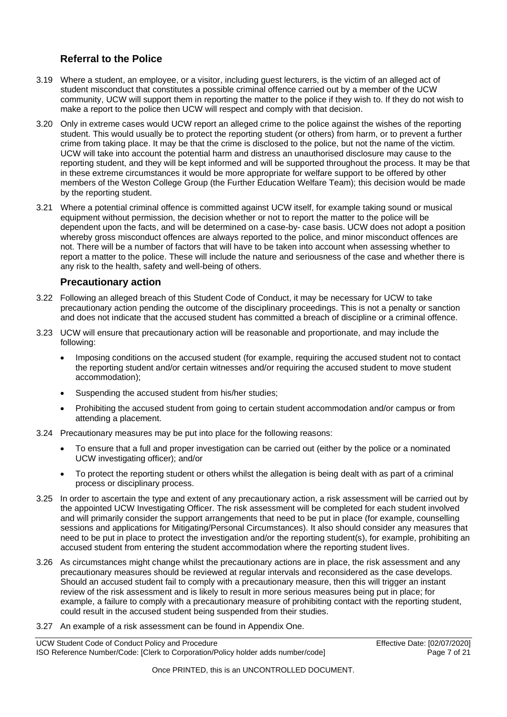### **Referral to the Police**

- 3.19 Where a student, an employee, or a visitor, including guest lecturers, is the victim of an alleged act of student misconduct that constitutes a possible criminal offence carried out by a member of the UCW community, UCW will support them in reporting the matter to the police if they wish to. If they do not wish to make a report to the police then UCW will respect and comply with that decision.
- 3.20 Only in extreme cases would UCW report an alleged crime to the police against the wishes of the reporting student. This would usually be to protect the reporting student (or others) from harm, or to prevent a further crime from taking place. It may be that the crime is disclosed to the police, but not the name of the victim. UCW will take into account the potential harm and distress an unauthorised disclosure may cause to the reporting student, and they will be kept informed and will be supported throughout the process. It may be that in these extreme circumstances it would be more appropriate for welfare support to be offered by other members of the Weston College Group (the Further Education Welfare Team); this decision would be made by the reporting student.
- 3.21 Where a potential criminal offence is committed against UCW itself, for example taking sound or musical equipment without permission, the decision whether or not to report the matter to the police will be dependent upon the facts, and will be determined on a case-by- case basis. UCW does not adopt a position whereby gross misconduct offences are always reported to the police, and minor misconduct offences are not. There will be a number of factors that will have to be taken into account when assessing whether to report a matter to the police. These will include the nature and seriousness of the case and whether there is any risk to the health, safety and well-being of others.

#### **Precautionary action**

- <span id="page-6-0"></span>3.22 Following an alleged breach of this Student Code of Conduct, it may be necessary for UCW to take precautionary action pending the outcome of the disciplinary proceedings. This is not a penalty or sanction and does not indicate that the accused student has committed a breach of discipline or a criminal offence.
- 3.23 UCW will ensure that precautionary action will be reasonable and proportionate, and may include the following:
	- Imposing conditions on the accused student (for example, requiring the accused student not to contact the reporting student and/or certain witnesses and/or requiring the accused student to move student accommodation);
	- Suspending the accused student from his/her studies;
	- Prohibiting the accused student from going to certain student accommodation and/or campus or from attending a placement.
- 3.24 Precautionary measures may be put into place for the following reasons:
	- To ensure that a full and proper investigation can be carried out (either by the police or a nominated UCW investigating officer); and/or
	- To protect the reporting student or others whilst the allegation is being dealt with as part of a criminal process or disciplinary process.
- 3.25 In order to ascertain the type and extent of any precautionary action, a risk assessment will be carried out by the appointed UCW Investigating Officer. The risk assessment will be completed for each student involved and will primarily consider the support arrangements that need to be put in place (for example, counselling sessions and applications for Mitigating/Personal Circumstances). It also should consider any measures that need to be put in place to protect the investigation and/or the reporting student(s), for example, prohibiting an accused student from entering the student accommodation where the reporting student lives.
- 3.26 As circumstances might change whilst the precautionary actions are in place, the risk assessment and any precautionary measures should be reviewed at regular intervals and reconsidered as the case develops. Should an accused student fail to comply with a precautionary measure, then this will trigger an instant review of the risk assessment and is likely to result in more serious measures being put in place; for example, a failure to comply with a precautionary measure of prohibiting contact with the reporting student, could result in the accused student being suspended from their studies.
- 3.27 An example of a risk assessment can be found in Appendix One.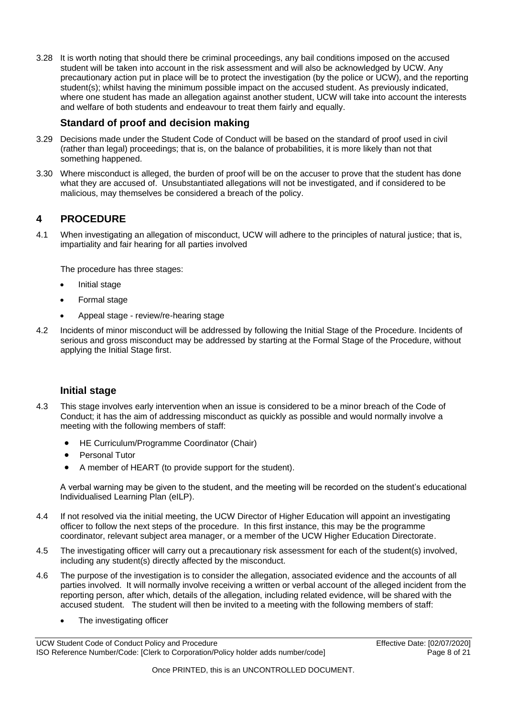3.28 It is worth noting that should there be criminal proceedings, any bail conditions imposed on the accused student will be taken into account in the risk assessment and will also be acknowledged by UCW. Any precautionary action put in place will be to protect the investigation (by the police or UCW), and the reporting student(s); whilst having the minimum possible impact on the accused student. As previously indicated, where one student has made an allegation against another student, UCW will take into account the interests and welfare of both students and endeavour to treat them fairly and equally.

### **Standard of proof and decision making**

- <span id="page-7-0"></span>3.29 Decisions made under the Student Code of Conduct will be based on the standard of proof used in civil (rather than legal) proceedings; that is, on the balance of probabilities, it is more likely than not that something happened.
- 3.30 Where misconduct is alleged, the burden of proof will be on the accuser to prove that the student has done what they are accused of. Unsubstantiated allegations will not be investigated, and if considered to be malicious, may themselves be considered a breach of the policy.

### <span id="page-7-1"></span>**4 PROCEDURE**

4.1 When investigating an allegation of misconduct, UCW will adhere to the principles of natural justice; that is, impartiality and fair hearing for all parties involved

The procedure has three stages:

- Initial stage
- Formal stage
- Appeal stage review/re-hearing stage
- 4.2 Incidents of minor misconduct will be addressed by following the Initial Stage of the Procedure. Incidents of serious and gross misconduct may be addressed by starting at the Formal Stage of the Procedure, without applying the Initial Stage first.

#### **Initial stage**

- <span id="page-7-2"></span>4.3 This stage involves early intervention when an issue is considered to be a minor breach of the Code of Conduct; it has the aim of addressing misconduct as quickly as possible and would normally involve a meeting with the following members of staff:
	- HE Curriculum/Programme Coordinator (Chair)
	- Personal Tutor
	- A member of HEART (to provide support for the student).

A verbal warning may be given to the student, and the meeting will be recorded on the student's educational Individualised Learning Plan (eILP).

- 4.4 If not resolved via the initial meeting, the UCW Director of Higher Education will appoint an investigating officer to follow the next steps of the procedure. In this first instance, this may be the programme coordinator, relevant subject area manager, or a member of the UCW Higher Education Directorate.
- 4.5 The investigating officer will carry out a precautionary risk assessment for each of the student(s) involved, including any student(s) directly affected by the misconduct.
- 4.6 The purpose of the investigation is to consider the allegation, associated evidence and the accounts of all parties involved. It will normally involve receiving a written or verbal account of the alleged incident from the reporting person, after which, details of the allegation, including related evidence, will be shared with the accused student. The student will then be invited to a meeting with the following members of staff:
	- The investigating officer

UCW Student Code of Conduct Policy and Procedure Effective Date: [02/07/2020] ISO Reference Number/Code: [Clerk to Corporation/Policy holder adds number/code] Page 8 of 21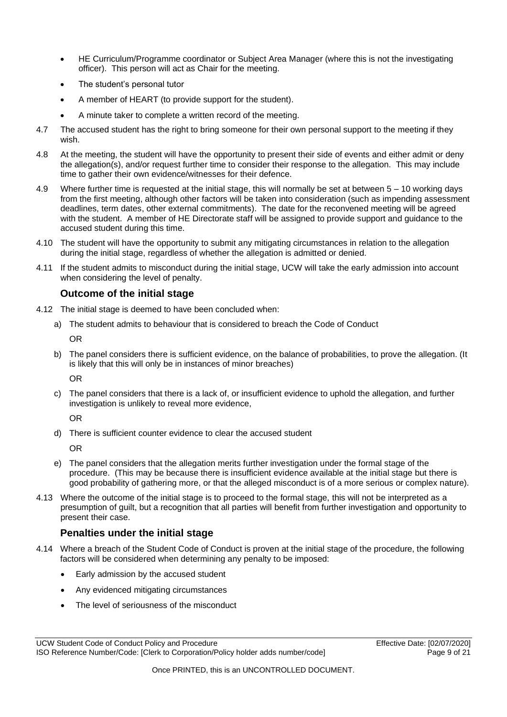- HE Curriculum/Programme coordinator or Subject Area Manager (where this is not the investigating officer). This person will act as Chair for the meeting.
- The student's personal tutor
- A member of HEART (to provide support for the student).
- A minute taker to complete a written record of the meeting.
- 4.7 The accused student has the right to bring someone for their own personal support to the meeting if they wish.
- 4.8 At the meeting, the student will have the opportunity to present their side of events and either admit or deny the allegation(s), and/or request further time to consider their response to the allegation. This may include time to gather their own evidence/witnesses for their defence.
- 4.9 Where further time is requested at the initial stage, this will normally be set at between 5 10 working days from the first meeting, although other factors will be taken into consideration (such as impending assessment deadlines, term dates, other external commitments). The date for the reconvened meeting will be agreed with the student. A member of HE Directorate staff will be assigned to provide support and guidance to the accused student during this time.
- 4.10 The student will have the opportunity to submit any mitigating circumstances in relation to the allegation during the initial stage, regardless of whether the allegation is admitted or denied.
- 4.11 If the student admits to misconduct during the initial stage, UCW will take the early admission into account when considering the level of penalty.

#### **Outcome of the initial stage**

- <span id="page-8-0"></span>4.12 The initial stage is deemed to have been concluded when:
	- a) The student admits to behaviour that is considered to breach the Code of Conduct OR
	- b) The panel considers there is sufficient evidence, on the balance of probabilities, to prove the allegation. (It is likely that this will only be in instances of minor breaches)

OR

c) The panel considers that there is a lack of, or insufficient evidence to uphold the allegation, and further investigation is unlikely to reveal more evidence,

OR

d) There is sufficient counter evidence to clear the accused student

OR

- e) The panel considers that the allegation merits further investigation under the formal stage of the procedure. (This may be because there is insufficient evidence available at the initial stage but there is good probability of gathering more, or that the alleged misconduct is of a more serious or complex nature).
- 4.13 Where the outcome of the initial stage is to proceed to the formal stage, this will not be interpreted as a presumption of guilt, but a recognition that all parties will benefit from further investigation and opportunity to present their case.

#### **Penalties under the initial stage**

- <span id="page-8-1"></span>4.14 Where a breach of the Student Code of Conduct is proven at the initial stage of the procedure, the following factors will be considered when determining any penalty to be imposed:
	- Early admission by the accused student
	- Any evidenced mitigating circumstances
	- The level of seriousness of the misconduct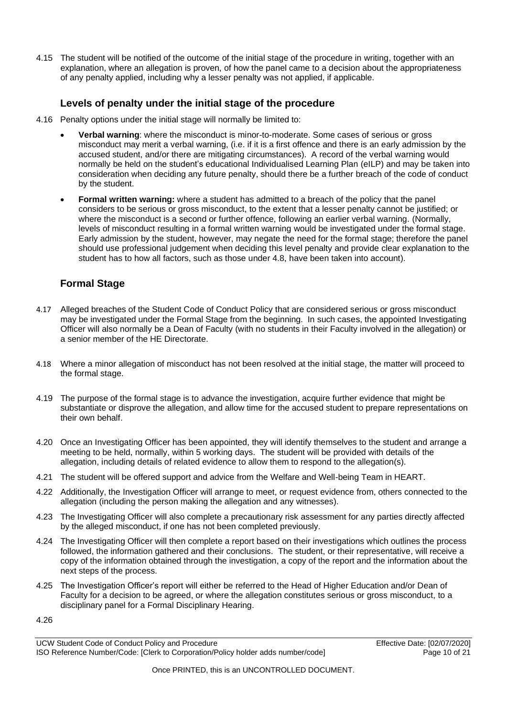4.15 The student will be notified of the outcome of the initial stage of the procedure in writing, together with an explanation, where an allegation is proven, of how the panel came to a decision about the appropriateness of any penalty applied, including why a lesser penalty was not applied, if applicable.

#### **Levels of penalty under the initial stage of the procedure**

- <span id="page-9-0"></span>4.16 Penalty options under the initial stage will normally be limited to:
	- **Verbal warning**: where the misconduct is minor-to-moderate. Some cases of serious or gross misconduct may merit a verbal warning, (i.e. if it is a first offence and there is an early admission by the accused student, and/or there are mitigating circumstances). A record of the verbal warning would normally be held on the student's educational Individualised Learning Plan (eILP) and may be taken into consideration when deciding any future penalty, should there be a further breach of the code of conduct by the student.
	- **Formal written warning:** where a student has admitted to a breach of the policy that the panel considers to be serious or gross misconduct, to the extent that a lesser penalty cannot be justified; or where the misconduct is a second or further offence, following an earlier verbal warning. (Normally, levels of misconduct resulting in a formal written warning would be investigated under the formal stage. Early admission by the student, however, may negate the need for the formal stage; therefore the panel should use professional judgement when deciding this level penalty and provide clear explanation to the student has to how all factors, such as those under 4.8, have been taken into account).

### <span id="page-9-1"></span>**Formal Stage**

- 4.17 Alleged breaches of the Student Code of Conduct Policy that are considered serious or gross misconduct may be investigated under the Formal Stage from the beginning. In such cases, the appointed Investigating Officer will also normally be a Dean of Faculty (with no students in their Faculty involved in the allegation) or a senior member of the HE Directorate.
- 4.18 Where a minor allegation of misconduct has not been resolved at the initial stage, the matter will proceed to the formal stage.
- 4.19 The purpose of the formal stage is to advance the investigation, acquire further evidence that might be substantiate or disprove the allegation, and allow time for the accused student to prepare representations on their own behalf.
- 4.20 Once an Investigating Officer has been appointed, they will identify themselves to the student and arrange a meeting to be held, normally, within 5 working days. The student will be provided with details of the allegation, including details of related evidence to allow them to respond to the allegation(s).
- 4.21 The student will be offered support and advice from the Welfare and Well-being Team in HEART.
- 4.22 Additionally, the Investigation Officer will arrange to meet, or request evidence from, others connected to the allegation (including the person making the allegation and any witnesses).
- 4.23 The Investigating Officer will also complete a precautionary risk assessment for any parties directly affected by the alleged misconduct, if one has not been completed previously.
- 4.24 The Investigating Officer will then complete a report based on their investigations which outlines the process followed, the information gathered and their conclusions. The student, or their representative, will receive a copy of the information obtained through the investigation, a copy of the report and the information about the next steps of the process.
- 4.25 The Investigation Officer's report will either be referred to the Head of Higher Education and/or Dean of Faculty for a decision to be agreed, or where the allegation constitutes serious or gross misconduct, to a disciplinary panel for a Formal Disciplinary Hearing.

4.26

UCW Student Code of Conduct Policy and Procedure **Effective Date: [02/07/2020]**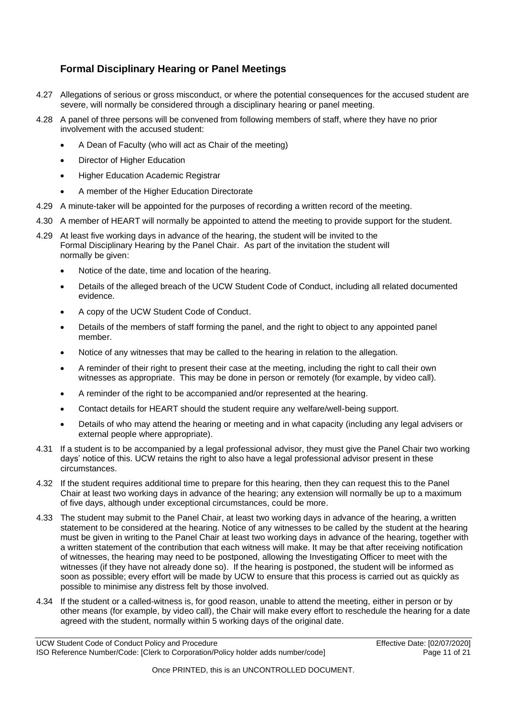### <span id="page-10-0"></span>**Formal Disciplinary Hearing or Panel Meetings**

- 4.27 Allegations of serious or gross misconduct, or where the potential consequences for the accused student are severe, will normally be considered through a disciplinary hearing or panel meeting.
- 4.28 A panel of three persons will be convened from following members of staff, where they have no prior involvement with the accused student:
	- A Dean of Faculty (who will act as Chair of the meeting)
	- Director of Higher Education
	- Higher Education Academic Registrar
	- A member of the Higher Education Directorate
- 4.29 A minute-taker will be appointed for the purposes of recording a written record of the meeting.
- 4.30 A member of HEART will normally be appointed to attend the meeting to provide support for the student.
- 4.29 At least five working days in advance of the hearing, the student will be invited to the Formal Disciplinary Hearing by the Panel Chair. As part of the invitation the student will normally be given:
	- Notice of the date, time and location of the hearing.
	- Details of the alleged breach of the UCW Student Code of Conduct, including all related documented evidence.
	- A copy of the UCW Student Code of Conduct.
	- Details of the members of staff forming the panel, and the right to object to any appointed panel member.
	- Notice of any witnesses that may be called to the hearing in relation to the allegation.
	- A reminder of their right to present their case at the meeting, including the right to call their own witnesses as appropriate. This may be done in person or remotely (for example, by video call).
	- A reminder of the right to be accompanied and/or represented at the hearing.
	- Contact details for HEART should the student require any welfare/well-being support.
	- Details of who may attend the hearing or meeting and in what capacity (including any legal advisers or external people where appropriate).
- 4.31 If a student is to be accompanied by a legal professional advisor, they must give the Panel Chair two working days' notice of this. UCW retains the right to also have a legal professional advisor present in these circumstances.
- 4.32 If the student requires additional time to prepare for this hearing, then they can request this to the Panel Chair at least two working days in advance of the hearing; any extension will normally be up to a maximum of five days, although under exceptional circumstances, could be more.
- 4.33 The student may submit to the Panel Chair, at least two working days in advance of the hearing, a written statement to be considered at the hearing. Notice of any witnesses to be called by the student at the hearing must be given in writing to the Panel Chair at least two working days in advance of the hearing, together with a written statement of the contribution that each witness will make. It may be that after receiving notification of witnesses, the hearing may need to be postponed, allowing the Investigating Officer to meet with the witnesses (if they have not already done so). If the hearing is postponed, the student will be informed as soon as possible; every effort will be made by UCW to ensure that this process is carried out as quickly as possible to minimise any distress felt by those involved.
- 4.34 If the student or a called-witness is, for good reason, unable to attend the meeting, either in person or by other means (for example, by video call), the Chair will make every effort to reschedule the hearing for a date agreed with the student, normally within 5 working days of the original date.

UCW Student Code of Conduct Policy and Procedure **Effective Date: [02/07/2020]**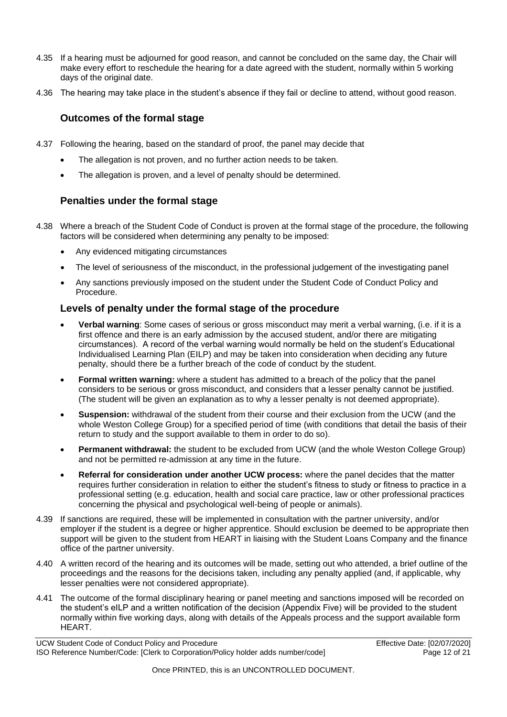- 4.35 If a hearing must be adjourned for good reason, and cannot be concluded on the same day, the Chair will make every effort to reschedule the hearing for a date agreed with the student, normally within 5 working days of the original date.
- <span id="page-11-0"></span>4.36 The hearing may take place in the student's absence if they fail or decline to attend, without good reason.

### **Outcomes of the formal stage**

- 4.37 Following the hearing, based on the standard of proof, the panel may decide that
	- The allegation is not proven, and no further action needs to be taken.
	- The allegation is proven, and a level of penalty should be determined.

#### <span id="page-11-1"></span>**Penalties under the formal stage**

- 4.38 Where a breach of the Student Code of Conduct is proven at the formal stage of the procedure, the following factors will be considered when determining any penalty to be imposed:
	- Any evidenced mitigating circumstances
	- The level of seriousness of the misconduct, in the professional judgement of the investigating panel
	- Any sanctions previously imposed on the student under the Student Code of Conduct Policy and Procedure.

#### <span id="page-11-2"></span>**Levels of penalty under the formal stage of the procedure**

- **Verbal warning**: Some cases of serious or gross misconduct may merit a verbal warning, (i.e. if it is a first offence and there is an early admission by the accused student, and/or there are mitigating circumstances). A record of the verbal warning would normally be held on the student's Educational Individualised Learning Plan (EILP) and may be taken into consideration when deciding any future penalty, should there be a further breach of the code of conduct by the student.
- **Formal written warning:** where a student has admitted to a breach of the policy that the panel considers to be serious or gross misconduct, and considers that a lesser penalty cannot be justified. (The student will be given an explanation as to why a lesser penalty is not deemed appropriate).
- **Suspension:** withdrawal of the student from their course and their exclusion from the UCW (and the whole Weston College Group) for a specified period of time (with conditions that detail the basis of their return to study and the support available to them in order to do so).
- **Permanent withdrawal:** the student to be excluded from UCW (and the whole Weston College Group) and not be permitted re-admission at any time in the future.
- **Referral for consideration under another UCW process:** where the panel decides that the matter requires further consideration in relation to either the student's fitness to study or fitness to practice in a professional setting (e.g. education, health and social care practice, law or other professional practices concerning the physical and psychological well-being of people or animals).
- 4.39 If sanctions are required, these will be implemented in consultation with the partner university, and/or employer if the student is a degree or higher apprentice. Should exclusion be deemed to be appropriate then support will be given to the student from HEART in liaising with the Student Loans Company and the finance office of the partner university.
- 4.40 A written record of the hearing and its outcomes will be made, setting out who attended, a brief outline of the proceedings and the reasons for the decisions taken, including any penalty applied (and, if applicable, why lesser penalties were not considered appropriate).
- 4.41 The outcome of the formal disciplinary hearing or panel meeting and sanctions imposed will be recorded on the student's eILP and a written notification of the decision (Appendix Five) will be provided to the student normally within five working days, along with details of the Appeals process and the support available form HEART.

UCW Student Code of Conduct Policy and Procedure **Effective Date: [02/07/2020]**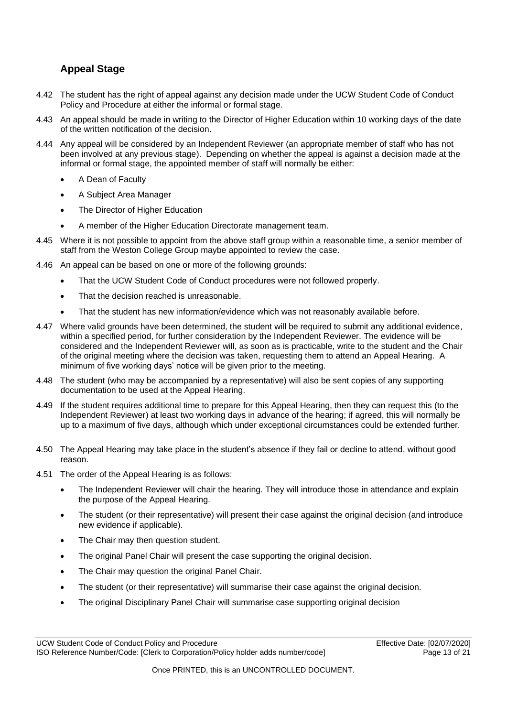# <span id="page-12-0"></span>**Appeal Stage**

- 4.42 The student has the right of appeal against any decision made under the UCW Student Code of Conduct Policy and Procedure at either the informal or formal stage.
- 4.43 An appeal should be made in writing to the Director of Higher Education within 10 working days of the date of the written notification of the decision.
- 4.44 Any appeal will be considered by an Independent Reviewer (an appropriate member of staff who has not been involved at any previous stage). Depending on whether the appeal is against a decision made at the informal or formal stage, the appointed member of staff will normally be either:
	- A Dean of Faculty
	- A Subject Area Manager
	- The Director of Higher Education
	- A member of the Higher Education Directorate management team.
- 4.45 Where it is not possible to appoint from the above staff group within a reasonable time, a senior member of staff from the Weston College Group maybe appointed to review the case.
- 4.46 An appeal can be based on one or more of the following grounds:
	- That the UCW Student Code of Conduct procedures were not followed properly.
	- That the decision reached is unreasonable.
	- That the student has new information/evidence which was not reasonably available before.
- 4.47 Where valid grounds have been determined, the student will be required to submit any additional evidence, within a specified period, for further consideration by the Independent Reviewer. The evidence will be considered and the Independent Reviewer will, as soon as is practicable, write to the student and the Chair of the original meeting where the decision was taken, requesting them to attend an Appeal Hearing. A minimum of five working days' notice will be given prior to the meeting.
- 4.48 The student (who may be accompanied by a representative) will also be sent copies of any supporting documentation to be used at the Appeal Hearing.
- 4.49 If the student requires additional time to prepare for this Appeal Hearing, then they can request this (to the Independent Reviewer) at least two working days in advance of the hearing; if agreed, this will normally be up to a maximum of five days, although which under exceptional circumstances could be extended further.
- 4.50 The Appeal Hearing may take place in the student's absence if they fail or decline to attend, without good reason.
- 4.51 The order of the Appeal Hearing is as follows:
	- The Independent Reviewer will chair the hearing. They will introduce those in attendance and explain the purpose of the Appeal Hearing.
	- The student (or their representative) will present their case against the original decision (and introduce new evidence if applicable).
	- The Chair may then question student.
	- The original Panel Chair will present the case supporting the original decision.
	- The Chair may question the original Panel Chair.
	- The student (or their representative) will summarise their case against the original decision.
	- The original Disciplinary Panel Chair will summarise case supporting original decision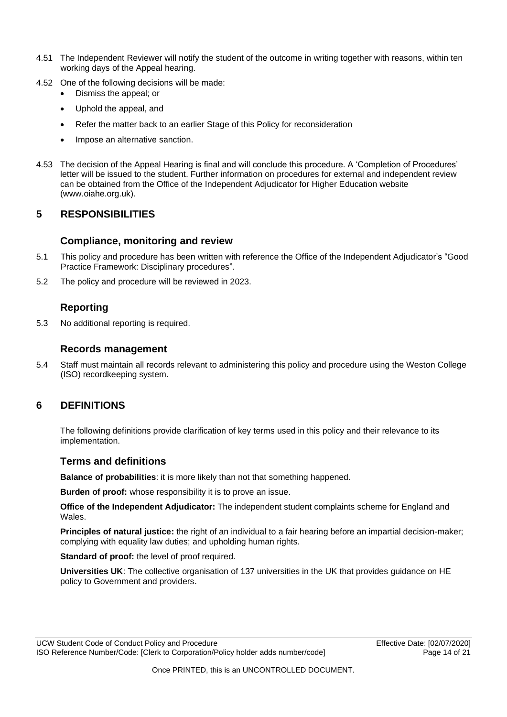- 4.51 The Independent Reviewer will notify the student of the outcome in writing together with reasons, within ten working days of the Appeal hearing.
- 4.52 One of the following decisions will be made:
	- Dismiss the appeal; or
	- Uphold the appeal, and
	- Refer the matter back to an earlier Stage of this Policy for reconsideration
	- Impose an alternative sanction.
- 4.53 The decision of the Appeal Hearing is final and will conclude this procedure. A 'Completion of Procedures' letter will be issued to the student. Further information on procedures for external and independent review can be obtained from the Office of the Independent Adjudicator for Higher Education website (www.oiahe.org.uk).

### <span id="page-13-0"></span>**5 RESPONSIBILITIES**

#### **Compliance, monitoring and review**

- <span id="page-13-1"></span>5.1 This policy and procedure has been written with reference the Office of the Independent Adjudicator's "Good Practice Framework: Disciplinary procedures".
- 5.2 The policy and procedure will be reviewed in 2023.

### **Reporting**

<span id="page-13-2"></span>5.3 No additional reporting is required.

#### **Records management**

<span id="page-13-3"></span>5.4 Staff must maintain all records relevant to administering this policy and procedure using the Weston College (ISO) recordkeeping system.

### <span id="page-13-4"></span>**6 DEFINITIONS**

The following definitions provide clarification of key terms used in this policy and their relevance to its implementation.

#### <span id="page-13-5"></span>**Terms and definitions**

**Balance of probabilities**: it is more likely than not that something happened.

**Burden of proof:** whose responsibility it is to prove an issue.

**Office of the Independent Adjudicator:** The independent student complaints scheme for England and Wales.

**Principles of natural justice:** the right of an individual to a fair hearing before an impartial decision-maker; complying with equality law duties; and upholding human rights.

**Standard of proof:** the level of proof required.

**Universities UK**: The collective organisation of 137 universities in the UK that provides guidance on HE policy to Government and providers.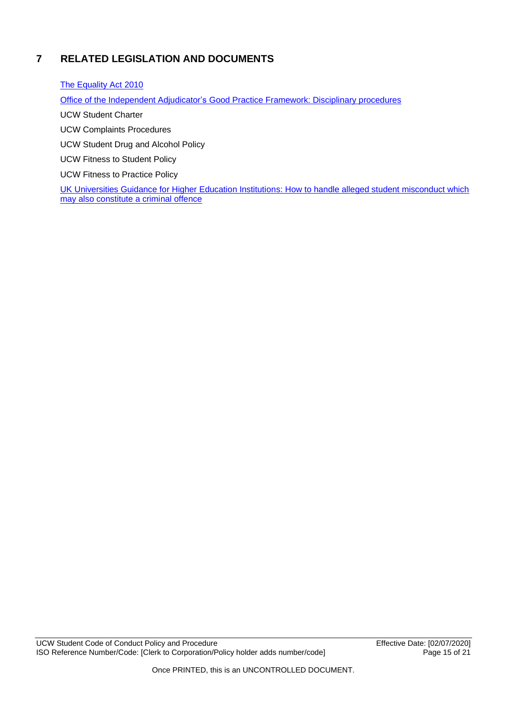# <span id="page-14-0"></span>**7 RELATED LEGISLATION AND DOCUMENTS**

[The Equality Act 2010](http://www.legislation.gov.uk/ukpga/2010/15/contents)

Office of the Independent Adjudicator's [Good Practice Framework: Disciplinary procedures](https://www.oiahe.org.uk/media/2045/good-practice-framework-disciplinary-procedures-section.pdf)

UCW Student Charter

UCW Complaints Procedures

UCW Student Drug and Alcohol Policy

UCW Fitness to Student Policy

UCW Fitness to Practice Policy

UK Universities [Guidance for Higher Education Institutions: How to handle alleged](https://www.universitiesuk.ac.uk/policy-and-analysis/reports/Documents/2016/guidance-for-higher-education-institutions.pdf) student misconduct which [may also constitute a criminal offence](https://www.universitiesuk.ac.uk/policy-and-analysis/reports/Documents/2016/guidance-for-higher-education-institutions.pdf)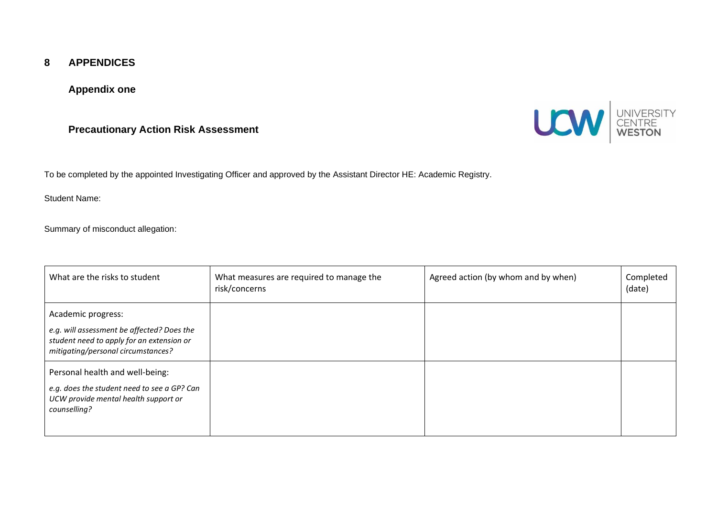#### **8 APPENDICES**

#### **Appendix one**

### **Precautionary Action Risk Assessment**



To be completed by the appointed Investigating Officer and approved by the Assistant Director HE: Academic Registry.

Student Name:

Summary of misconduct allegation:

<span id="page-15-2"></span><span id="page-15-1"></span><span id="page-15-0"></span>

| What are the risks to student                                                                                                                       | What measures are required to manage the<br>risk/concerns | Agreed action (by whom and by when) | Completed<br>(date) |
|-----------------------------------------------------------------------------------------------------------------------------------------------------|-----------------------------------------------------------|-------------------------------------|---------------------|
| Academic progress:<br>e.g. will assessment be affected? Does the<br>student need to apply for an extension or<br>mitigating/personal circumstances? |                                                           |                                     |                     |
| Personal health and well-being:<br>e.g. does the student need to see a GP? Can<br>UCW provide mental health support or<br>counselling?              |                                                           |                                     |                     |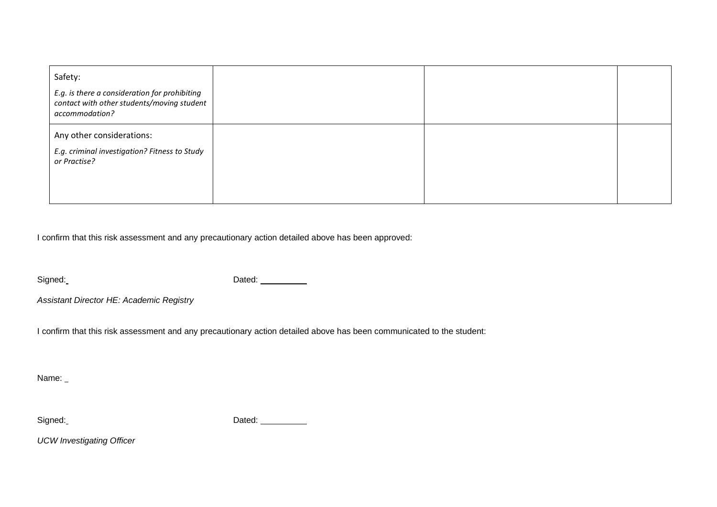| Safety:<br>E.g. is there a consideration for prohibiting<br>contact with other students/moving student<br>accommodation? |  |  |
|--------------------------------------------------------------------------------------------------------------------------|--|--|
| Any other considerations:<br>E.g. criminal investigation? Fitness to Study<br>or Practise?                               |  |  |

I confirm that this risk assessment and any precautionary action detailed above has been approved:

Signed: Signed: Dated: Dated:

*Assistant Director HE: Academic Registry*

I confirm that this risk assessment and any precautionary action detailed above has been communicated to the student:

Name: \_

Signed: Signed: Contract Contract Contract Contract Contract Contract Contract Contract Contract Contract Contract Contract Contract Contract Contract Contract Contract Contract Contract Contract Contract Contract Contract

*UCW Investigating Officer*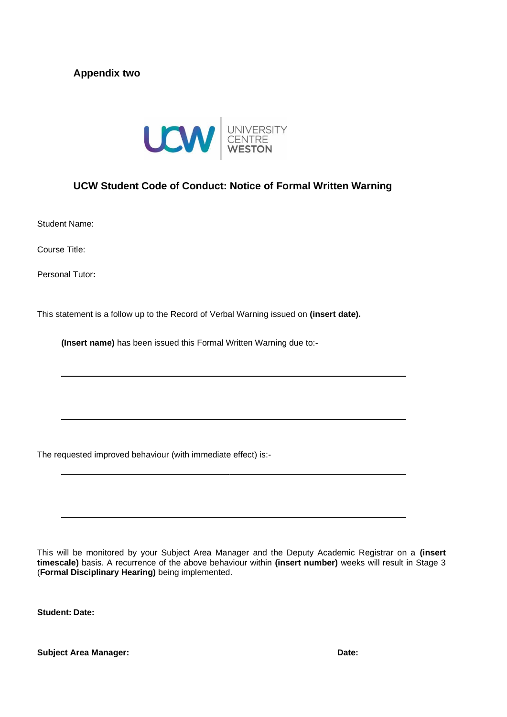### <span id="page-17-0"></span>**Appendix two**



#### <span id="page-17-1"></span>**UCW Student Code of Conduct: Notice of Formal Written Warning**

Student Name:

Course Title:

Personal Tutor**:**

This statement is a follow up to the Record of Verbal Warning issued on **(insert date).** 

**(Insert name)** has been issued this Formal Written Warning due to:-

The requested improved behaviour (with immediate effect) is:-

This will be monitored by your Subject Area Manager and the Deputy Academic Registrar on a **(insert timescale)** basis. A recurrence of the above behaviour within **(insert number)** weeks will result in Stage 3 (**Formal Disciplinary Hearing)** being implemented.

**Student: Date:**

**Subject Area Manager: Date:**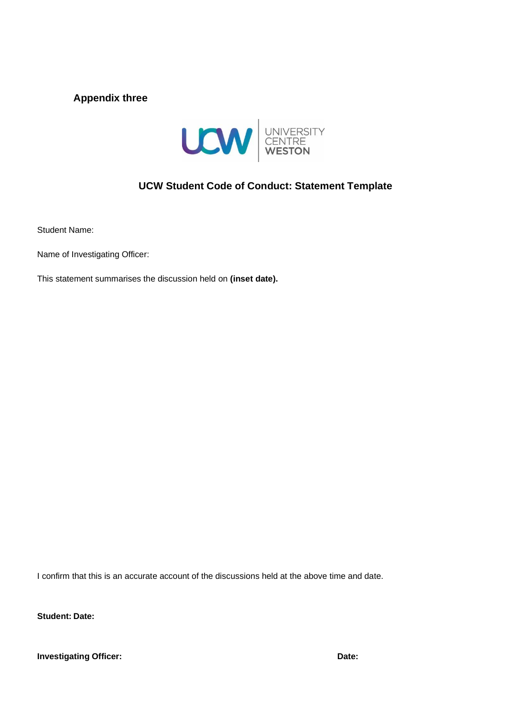### <span id="page-18-0"></span>**Appendix three**



# **UCW Student Code of Conduct: Statement Template**

<span id="page-18-1"></span>Student Name:

Name of Investigating Officer:

This statement summarises the discussion held on **(inset date).**

I confirm that this is an accurate account of the discussions held at the above time and date.

**Student: Date:**

**Investigating Officer: Date:**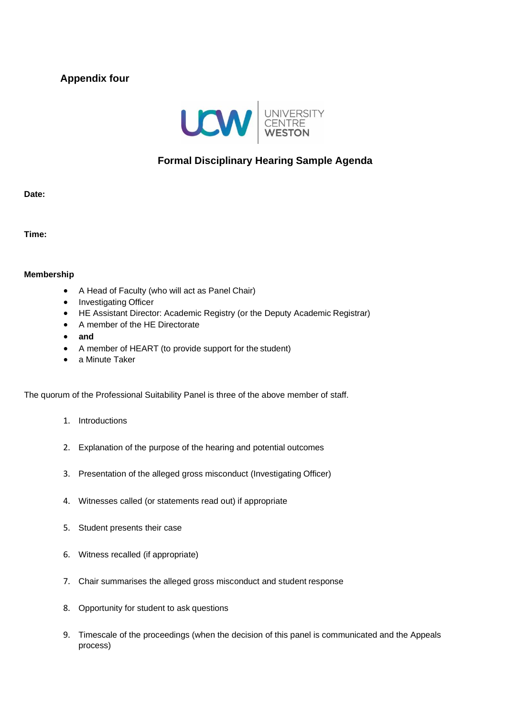# <span id="page-19-0"></span>**Appendix four**



# **Formal Disciplinary Hearing Sample Agenda**

<span id="page-19-1"></span>**Date:**

**Time:**

#### **Membership**

- A Head of Faculty (who will act as Panel Chair)
- Investigating Officer
- HE Assistant Director: Academic Registry (or the Deputy Academic Registrar)
- A member of the HE Directorate
- **and**
- A member of HEART (to provide support for the student)
- a Minute Taker

The quorum of the Professional Suitability Panel is three of the above member of staff.

- 1. Introductions
- 2. Explanation of the purpose of the hearing and potential outcomes
- 3. Presentation of the alleged gross misconduct (Investigating Officer)
- 4. Witnesses called (or statements read out) if appropriate
- 5. Student presents their case
- 6. Witness recalled (if appropriate)
- 7. Chair summarises the alleged gross misconduct and student response
- 8. Opportunity for student to ask questions
- 9. Timescale of the proceedings (when the decision of this panel is communicated and the Appeals process)